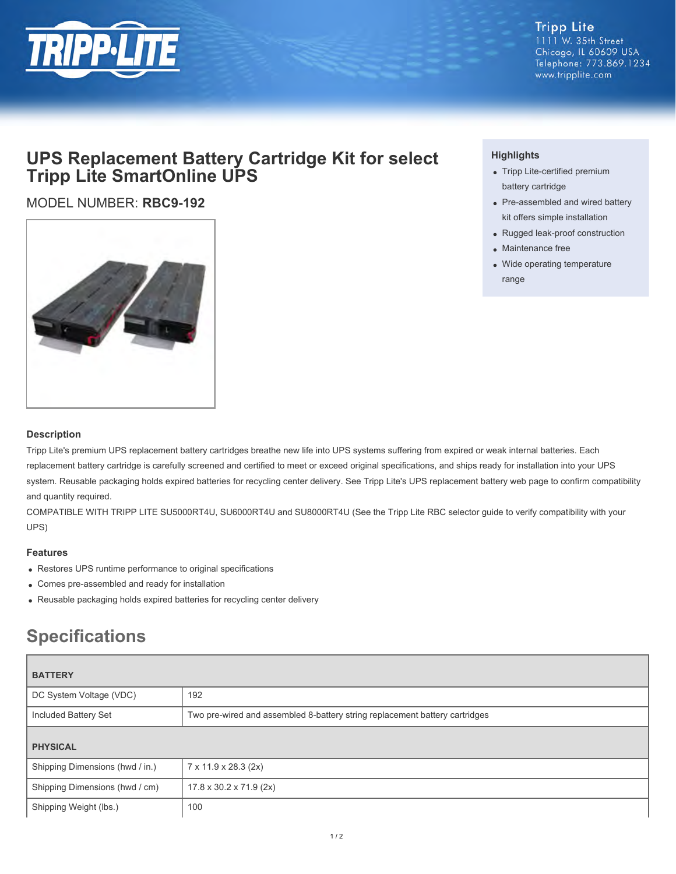

**Tripp Lite** 1111 W. 35th Street Chicago, IL 60609 USA Telephone: 773.869.1234 www.tripplite.com

## **UPS Replacement Battery Cartridge Kit for select Tripp Lite SmartOnline UPS**

MODEL NUMBER: **RBC9-192**



### **Highlights**

- Tripp Lite-certified premium battery cartridge
- Pre-assembled and wired battery kit offers simple installation
- Rugged leak-proof construction
- Maintenance free
- Wide operating temperature range

#### **Description**

Tripp Lite's premium UPS replacement battery cartridges breathe new life into UPS systems suffering from expired or weak internal batteries. Each replacement battery cartridge is carefully screened and certified to meet or exceed original specifications, and ships ready for installation into your UPS system. Reusable packaging holds expired batteries for recycling center delivery. See Tripp Lite's UPS replacement battery web page to confirm compatibility and quantity required.

COMPATIBLE WITH TRIPP LITE SU5000RT4U, SU6000RT4U and SU8000RT4U (See the Tripp Lite RBC selector guide to verify compatibility with your UPS)

#### **Features**

- Restores UPS runtime performance to original specifications
- Comes pre-assembled and ready for installation
- Reusable packaging holds expired batteries for recycling center delivery

# **Specifications**

| <b>BATTERY</b>                  |                                                                             |
|---------------------------------|-----------------------------------------------------------------------------|
| DC System Voltage (VDC)         | 192                                                                         |
| Included Battery Set            | Two pre-wired and assembled 8-battery string replacement battery cartridges |
| <b>PHYSICAL</b>                 |                                                                             |
| Shipping Dimensions (hwd / in.) | 7 x 11.9 x 28.3 (2x)                                                        |
| Shipping Dimensions (hwd / cm)  | $17.8 \times 30.2 \times 71.9$ (2x)                                         |
| Shipping Weight (lbs.)          | 100                                                                         |